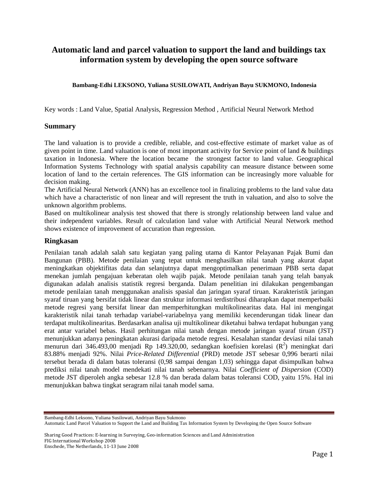# **Automatic land and parcel valuation to support the land and buildings tax information system by developing the open source software**

#### **Bambang-Edhi LEKSONO, Yuliana SUSILOWATI, Andriyan Bayu SUKMONO, Indonesia**

Key words : Land Value, Spatial Analysis, Regression Method , Artificial Neural Network Method

#### **Summary**

The land valuation is to provide a credible, reliable, and cost-effective estimate of market value as of given point in time. Land valuation is one of most important activity for Service point of land & buildings taxation in Indonesia. Where the location became the strongest factor to land value. Geographical Information Systems Technology with spatial analysis capability can measure distance between some location of land to the certain references. The GIS information can be increasingly more valuable for decision making.

The Artificial Neural Network (ANN) has an excellence tool in finalizing problems to the land value data which have a characteristic of non linear and will represent the truth in valuation, and also to solve the unknown algorithm problems.

Based on multikolinear analysis test showed that there is strongly relationship between land value and their independent variables. Result of calculation land value with Artificial Neural Network method shows existence of improvement of accuration than regression.

#### **Ringkasan**

Penilaian tanah adalah salah satu kegiatan yang paling utama di Kantor Pelayanan Pajak Bumi dan Bangunan (PBB). Metode penilaian yang tepat untuk menghasilkan nilai tanah yang akurat dapat meningkatkan objektifitas data dan selanjutnya dapat mengoptimalkan penerimaan PBB serta dapat menekan jumlah pengajuan keberatan oleh wajib pajak. Metode penilaian tanah yang telah banyak digunakan adalah analisis statistik regresi berganda. Dalam penelitian ini dilakukan pengembangan metode penilaian tanah menggunakan analisis spasial dan jaringan syaraf tiruan. Karakteristik jaringan syaraf tiruan yang bersifat tidak linear dan struktur informasi terdistribusi diharapkan dapat memperbaiki metode regresi yang bersifat linear dan memperhitungkan multikolinearitas data. Hal ini mengingat karakteristik nilai tanah terhadap variabel-variabelnya yang memiliki kecenderungan tidak linear dan terdapat multikolinearitas. Berdasarkan analisa uji multikolinear diketahui bahwa terdapat hubungan yang erat antar variabel bebas. Hasil perhitungan nilai tanah dengan metode jaringan syaraf tiruan (JST) menunjukkan adanya peningkatan akurasi daripada metode regresi. Kesalahan standar deviasi nilai tanah menurun dari 346.493,00 menjadi Rp 149.320,00, sedangkan koefisien korelasi  $(R^2)$  meningkat dari 83.88% menjadi 92%. Nilai *Price-Related Differential* (PRD) metode JST sebesar 0,996 berarti nilai tersebut berada di dalam batas toleransi (0,98 sampai dengan 1,03) sehingga dapat disimpulkan bahwa prediksi nilai tanah model mendekati nilai tanah sebenarnya. Nilai *Coefficient of Dispersion* (COD) metode JST diperoleh angka sebesar 12.8 % dan berada dalam batas toleransi COD, yaitu 15%. Hal ini menunjukkan bahwa tingkat seragram nilai tanah model sama.

Bambang-Edhi Leksono, Yuliana Susilowati, Andriyan Bayu Sukmono

Automatic Land Parcel Valuation to Support the Land and Building Tax Information System by Developing the Open Source Software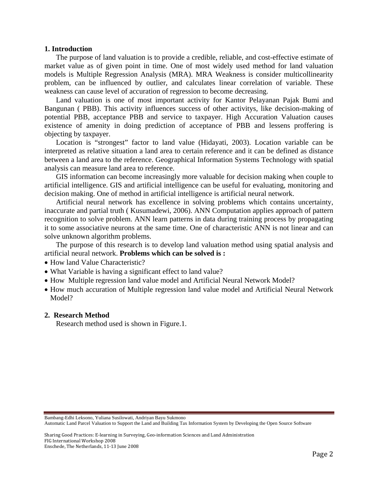#### **1. Introduction**

The purpose of land valuation is to provide a credible, reliable, and cost-effective estimate of market value as of given point in time. One of most widely used method for land valuation models is Multiple Regression Analysis (MRA). MRA Weakness is consider multicollinearity problem, can be influenced by outlier, and calculates linear correlation of variable. These weakness can cause level of accuration of regression to become decreasing.

Land valuation is one of most important activity for Kantor Pelayanan Pajak Bumi and Bangunan ( PBB). This activity influences success of other activitys, like decision-making of potential PBB, acceptance PBB and service to taxpayer. High Accuration Valuation causes existence of amenity in doing prediction of acceptance of PBB and lessens proffering is objecting by taxpayer.

Location is "strongest" factor to land value (Hidayati, 2003). Location variable can be interpreted as relative situation a land area to certain reference and it can be defined as distance between a land area to the reference. Geographical Information Systems Technology with spatial analysis can measure land area to reference.

GIS information can become increasingly more valuable for decision making when couple to artificial intelligence. GIS and artificial intelligence can be useful for evaluating, monitoring and decision making. One of method in artificial intelligence is artificial neural network.

Artificial neural network has excellence in solving problems which contains uncertainty, inaccurate and partial truth ( Kusumadewi, 2006). ANN Computation applies approach of pattern recognition to solve problem. ANN learn patterns in data during training process by propagating it to some associative neurons at the same time. One of characteristic ANN is not linear and can solve unknown algorithm problems.

The purpose of this research is to develop land valuation method using spatial analysis and artificial neural network. **Problems which can be solved is :** 

- How land Value Characteristic?
- What Variable is having a significant effect to land value?
- How Multiple regression land value model and Artificial Neural Network Model?
- How much accuration of Multiple regression land value model and Artificial Neural Network Model?

#### **2. Research Method**

Research method used is shown in Figure.1.

Bambang-Edhi Leksono, Yuliana Susilowati, Andriyan Bayu Sukmono

Automatic Land Parcel Valuation to Support the Land and Building Tax Information System by Developing the Open Source Software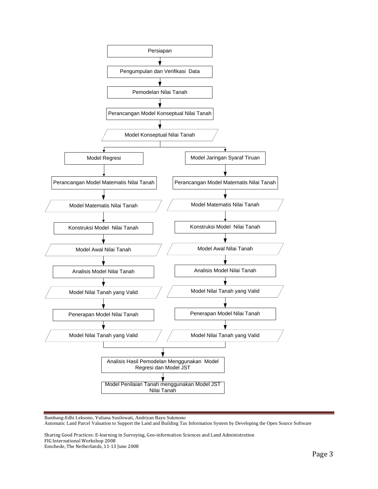

Bambang-Edhi Leksono, Yuliana Susilowati, Andriyan Bayu Sukmono Automatic Land Parcel Valuation to Support the Land and Building Tax Information System by Developing the Open Source Software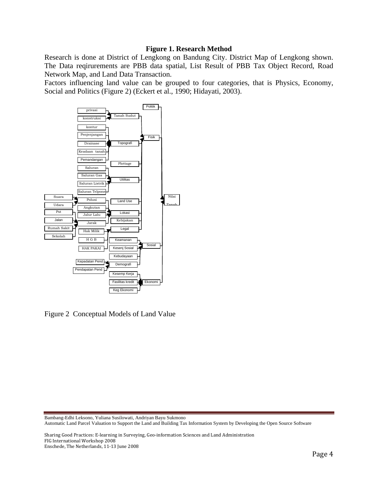### **Figure 1. Research Method**

Research is done at District of Lengkong on Bandung City. District Map of Lengkong shown. The Data reqirurements are PBB data spatial, List Result of PBB Tax Object Record, Road Network Map, and Land Data Transaction.

Factors influencing land value can be grouped to four categories, that is Physics, Economy, Social and Politics (Figure 2) (Eckert et al., 1990; Hidayati, 2003).



Figure 2 Conceptual Models of Land Value

Bambang-Edhi Leksono, Yuliana Susilowati, Andriyan Bayu Sukmono Automatic Land Parcel Valuation to Support the Land and Building Tax Information System by Developing the Open Source Software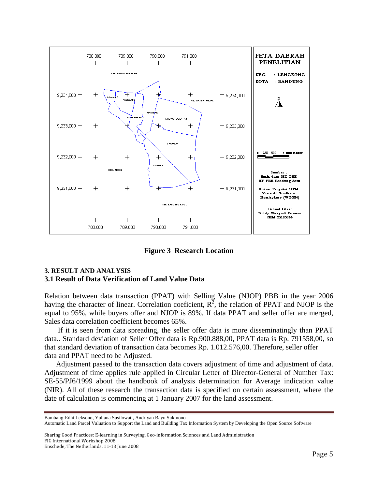

**Figure 3 Research Location** 

### **3. RESULT AND ANALYSIS 3.1 Result of Data Verification of Land Value Data**

Relation between data transaction (PPAT) with Selling Value (NJOP) PBB in the year 2006 having the character of linear. Correlation coeficient,  $R^2$ , the relation of PPAT and NJOP is the equal to 95%, while buyers offer and NJOP is 89%. If data PPAT and seller offer are merged, Sales data correlation coefficient becomes 65%.

 If it is seen from data spreading, the seller offer data is more disseminatingly than PPAT data.. Standard deviation of Seller Offer data is Rp.900.888,00, PPAT data is Rp. 791558,00, so that standard deviation of transaction data becomes Rp. 1.012.576,00. Therefore, seller offer data and PPAT need to be Adjusted.

Adjustment passed to the transaction data covers adjustment of time and adjustment of data. Adjustment of time applies rule applied in Circular Letter of Director-General of Number Tax: SE-55/PJ6/1999 about the handbook of analysis determination for Average indication value (NIR). All of these research the transaction data is specified on certain assessment, where the date of calculation is commencing at 1 January 2007 for the land assessment.

Bambang-Edhi Leksono, Yuliana Susilowati, Andriyan Bayu Sukmono

Automatic Land Parcel Valuation to Support the Land and Building Tax Information System by Developing the Open Source Software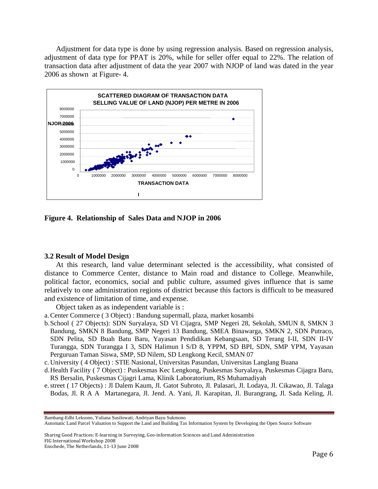Adjustment for data type is done by using regression analysis. Based on regression analysis, adjustment of data type for PPAT is 20%, while for seller offer equal to 22%. The relation of transaction data after adjustment of data the year 2007 with NJOP of land was dated in the year 2006 as shown at Figure- 4.



**Figure 4. Relationship of Sales Data and NJOP in 2006** 

#### **3.2 Result of Model Design**

At this research, land value determinant selected is the accessibility, what consisted of distance to Commerce Center, distance to Main road and distance to College. Meanwhile, political factor, economics, social and public culture, assumed gives influence that is same relatively to one administration regions of district because this factors is difficult to be measured and existence of limitation of time, and expense.

Object taken as as independent variable is :

a.Center Commerce ( 3 Object) : Bandung supermall, plaza, market kosambi

- b.School ( 27 Objects): SDN Suryalaya, SD VI Cijagra, SMP Negeri 28, Sekolah, SMUN 8, SMKN 3 Bandung, SMKN 8 Bandung, SMP Negeri 13 Bandung, SMEA Binawarga, SMKN 2, SDN Putraco, SDN Pelita, SD Buah Batu Baru, Yayasan Pendidikan Kebangsaan, SD Terang I-II, SDN II-IV Turangga, SDN Turangga I 3, SDN Halimun I S/D 8, YPPM, SD BPI, SDN, SMP YPM, Yayasan Perguruan Taman Siswa, SMP, SD Nilem, SD Lengkong Kecil, SMAN 07
- c. University ( 4 Object) : STIE Nasional, Universitas Pasundan, Universitas Langlang Buana
- d.Health Facility ( 7 Object) : Puskesmas Kec Lengkong, Puskesmas Suryalaya, Puskesmas Cijagra Baru, RS Bersalin, Puskesmas Cijagri Lama, Klinik Laboratorium, RS Muhamadiyah
- e.street ( 17 Objects) : Jl Dalem Kaum, Jl. Gatot Subroto, Jl. Palasari, Jl. Lodaya, Jl. Cikawao, Jl. Talaga Bodas, Jl. R A A Martanegara, Jl. Jend. A. Yani, Jl. Karapitan, Jl. Burangrang, Jl. Sada Keling, Jl.

Bambang-Edhi Leksono, Yuliana Susilowati, Andriyan Bayu Sukmono

Automatic Land Parcel Valuation to Support the Land and Building Tax Information System by Developing the Open Source Software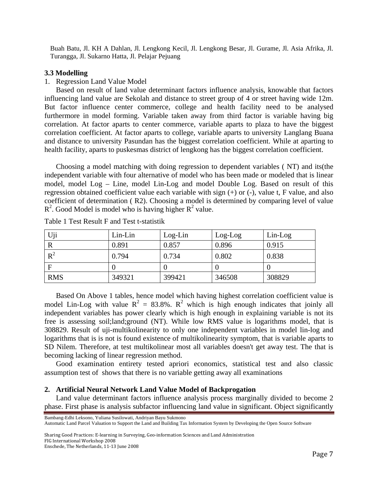Buah Batu, Jl. KH A Dahlan, Jl. Lengkong Kecil, Jl. Lengkong Besar, Jl. Gurame, Jl. Asia Afrika, Jl. Turangga, Jl. Sukarno Hatta, Jl. Pelajar Pejuang

#### **3.3 Modelling**

## 1. Regression Land Value Model

Based on result of land value determinant factors influence analysis, knowable that factors influencing land value are Sekolah and distance to street group of 4 or street having wide 12m. But factor influence center commerce, college and health facility need to be analysed furthermore in model forming. Variable taken away from third factor is variable having big correlation. At factor aparts to center commerce, variable aparts to plaza to have the biggest correlation coefficient. At factor aparts to college, variable aparts to university Langlang Buana and distance to university Pasundan has the biggest correlation coefficient. While at aparting to health facility, aparts to puskesmas district of lengkong has the biggest correlation coefficient.

Choosing a model matching with doing regression to dependent variables ( NT) and its(the independent variable with four alternative of model who has been made or modeled that is linear model, model Log – Line, model Lin-Log and model Double Log. Based on result of this regression obtained coefficient value each variable with sign (+) or (-), value t, F value, and also coefficient of determination ( R2). Choosing a model is determined by comparing level of value  $R^2$ . Good Model is model who is having higher  $R^2$  value.

| Uji         | Lin-Lin | $Log-Lin$ | Log-Log | $Lin-Log$ |
|-------------|---------|-----------|---------|-----------|
| $\bf R$     | 0.891   | 0.857     | 0.896   | 0.915     |
| $R^2$       | 0.794   | 0.734     | 0.802   | 0.838     |
| $\mathbf F$ |         |           |         |           |
| <b>RMS</b>  | 349321  | 399421    | 346508  | 308829    |

Table 1 Test Result F and Test t-statistik

Based On Above 1 tables, hence model which having highest correlation coefficient value is model Lin-Log with value  $R^2 = 83.8\%$ .  $R^2$  which is high enough indicates that joinly all independent variables has power clearly which is high enough in explaining variable is not its free is assessing soil;land;ground (NT). While low RMS value is logarithms model, that is 308829. Result of uji-multikolinearity to only one independent variables in model lin-log and logarithms that is is not is found existence of multikolinearity symptom, that is variable aparts to SD Nilem. Therefore, at test multikolinear most all variables doesn't get away test. The that is becoming lacking of linear regression method.

Good examination entirety tested apriori economics, statistical test and also classic assumption test of shows that there is no variable getting away all examinations

#### **2. Artificial Neural Network Land Value Model of Backprogation**

Land value determinant factors influence analysis process marginally divided to become 2 phase. First phase is analysis subfactor influencing land value in significant. Object significantly

Bambang-Edhi Leksono, Yuliana Susilowati, Andriyan Bayu Sukmono

Automatic Land Parcel Valuation to Support the Land and Building Tax Information System by Developing the Open Source Software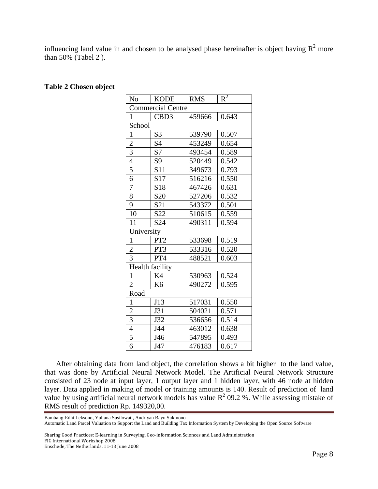influencing land value in and chosen to be analysed phase hereinafter is object having  $R^2$  more than 50% (Tabel 2 ).

| Table 2 Chosen object |  |
|-----------------------|--|
|-----------------------|--|

| N <sub>o</sub>           | <b>KODE</b>     | <b>RMS</b> | $R^2$ |  |  |
|--------------------------|-----------------|------------|-------|--|--|
| <b>Commercial Centre</b> |                 |            |       |  |  |
| 1                        | CBD3            | 459666     | 0.643 |  |  |
| School                   |                 |            |       |  |  |
| $\mathbf{1}$             | S <sub>3</sub>  | 539790     | 0.507 |  |  |
| $\overline{c}$           | S4              | 453249     | 0.654 |  |  |
| 3                        | S7              | 493454     | 0.589 |  |  |
| $\overline{4}$           | S <sub>9</sub>  | 520449     | 0.542 |  |  |
| $\overline{5}$           | S11             | 349673     | 0.793 |  |  |
| 6                        | S17             | 516216     | 0.550 |  |  |
| $\overline{7}$           | S18             | 467426     | 0.631 |  |  |
| 8                        | S <sub>20</sub> | 527206     | 0.532 |  |  |
| 9                        | S <sub>21</sub> | 543372     | 0.501 |  |  |
| 10                       | S22             | 510615     | 0.559 |  |  |
| 11                       | S <sub>24</sub> | 490311     | 0.594 |  |  |
| University               |                 |            |       |  |  |
| $\mathbf{1}$             | PT <sub>2</sub> | 533698     | 0.519 |  |  |
| $\overline{c}$           | PT3             | 533316     | 0.520 |  |  |
| 3                        | PT4             | 488521     | 0.603 |  |  |
| Health facility          |                 |            |       |  |  |
| $\mathbf{1}$             | K4              | 530963     | 0.524 |  |  |
| $\overline{c}$           | K <sub>6</sub>  | 490272     | 0.595 |  |  |
| Road                     |                 |            |       |  |  |
| $\mathbf{1}$             | J13             | 517031     | 0.550 |  |  |
| $\overline{c}$           | J31             | 504021     | 0.571 |  |  |
| $\overline{3}$           | J32             | 536656     | 0.514 |  |  |
| $\overline{4}$           | J44             | 463012     | 0.638 |  |  |
| $\overline{5}$           | J46             | 547895     | 0.493 |  |  |
| 6                        | J47             | 476183     | 0.617 |  |  |

After obtaining data from land object, the correlation shows a bit higher to the land value, that was done by Artificial Neural Network Model. The Artificial Neural Network Structure consisted of 23 node at input layer, 1 output layer and 1 hidden layer, with 46 node at hidden layer. Data applied in making of model or training amounts is 140. Result of prediction of land value by using artificial neural network models has value  $R^2$  09.2 %. While assessing mistake of RMS result of prediction Rp. 149320,00.

Bambang-Edhi Leksono, Yuliana Susilowati, Andriyan Bayu Sukmono Automatic Land Parcel Valuation to Support the Land and Building Tax Information System by Developing the Open Source Software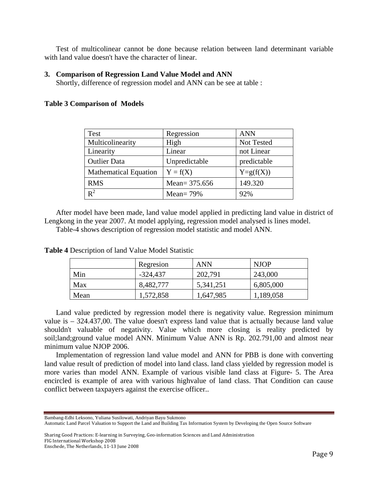Test of multicolinear cannot be done because relation between land determinant variable with land value doesn't have the character of linear.

#### **3. Comparison of Regression Land Value Model and ANN**

Shortly, difference of regression model and ANN can be see at table :

#### **Table 3 Comparison of Models**

| <b>Test</b>                  | Regression      | <b>ANN</b>    |
|------------------------------|-----------------|---------------|
| Multicolinearity             | High            | Not Tested    |
| Linearity                    | Linear          | not Linear    |
| <b>Outlier Data</b>          | Unpredictable   | predictable   |
| <b>Mathematical Equation</b> | $Y = f(X)$      | $Y = g(f(X))$ |
| <b>RMS</b>                   | Mean= $375.656$ | 149.320       |
| $R^2$                        | Mean = $79%$    | 92%           |

After model have been made, land value model applied in predicting land value in district of Lengkong in the year 2007. At model applying, regression model analysed is lines model.

Table-4 shows description of regression model statistic and model ANN.

|      | Regresion  | <b>ANN</b> | <b>NJOP</b> |
|------|------------|------------|-------------|
| Min  | $-324,437$ | 202,791    | 243,000     |
| Max  | 8,482,777  | 5,341,251  | 6,805,000   |
| Mean | 1,572,858  | 1,647,985  | 1,189,058   |

**Table 4** Description of land Value Model Statistic

Land value predicted by regression model there is negativity value. Regression minimum value is – 324.437,00. The value doesn't express land value that is actually because land value shouldn't valuable of negativity. Value which more closing is reality predicted by soil;land;ground value model ANN. Minimum Value ANN is Rp. 202.791,00 and almost near minimum value NJOP 2006.

Implementation of regression land value model and ANN for PBB is done with converting land value result of prediction of model into land class. land class yielded by regression model is more varies than model ANN. Example of various visible land class at Figure- 5. The Area encircled is example of area with various highvalue of land class. That Condition can cause conflict between taxpayers against the exercise officer..

Bambang-Edhi Leksono, Yuliana Susilowati, Andriyan Bayu Sukmono

Automatic Land Parcel Valuation to Support the Land and Building Tax Information System by Developing the Open Source Software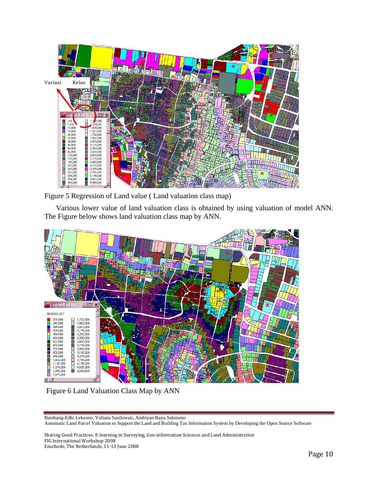

Figure 5 Regression of Land value ( Land valuation class map)

Various lower value of land valuation class is obtained by using valuation of model ANN. The Figure below shows land valuation class map by ANN.



Figure 6 Land Valuation Class Map by ANN

Bambang-Edhi Leksono, Yuliana Susilowati, Andriyan Bayu Sukmono Automatic Land Parcel Valuation to Support the Land and Building Tax Information System by Developing the Open Source Software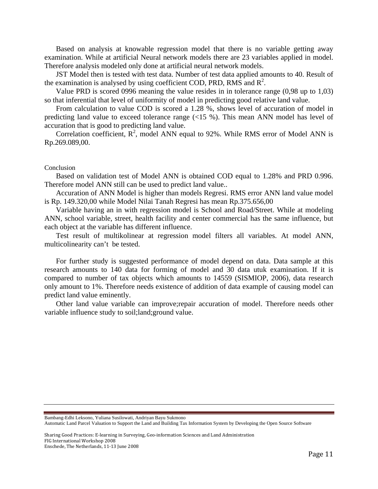Based on analysis at knowable regression model that there is no variable getting away examination. While at artificial Neural network models there are 23 variables applied in model. Therefore analysis modeled only done at artificial neural network models.

JST Model then is tested with test data. Number of test data applied amounts to 40. Result of the examination is analysed by using coefficient COD, PRD, RMS and  $\mathbb{R}^2$ .

Value PRD is scored 0996 meaning the value resides in in tolerance range (0,98 up to 1,03) so that inferential that level of uniformity of model in predicting good relative land value.

From calculation to value COD is scored a 1.28 %, shows level of accuration of model in predicting land value to exceed tolerance range (<15 %). This mean ANN model has level of accuration that is good to predicting land value.

Correlation coefficient,  $R^2$ , model ANN equal to 92%. While RMS error of Model ANN is Rp.269.089,00.

#### Conclusion

Based on validation test of Model ANN is obtained COD equal to 1.28% and PRD 0.996. Therefore model ANN still can be used to predict land value..

Accuration of ANN Model is higher than models Regresi. RMS error ANN land value model is Rp. 149.320,00 while Model Nilai Tanah Regresi has mean Rp.375.656,00

Variable having an in with regression model is School and Road/Street. While at modeling ANN, school variable, street, health facility and center commercial has the same influence, but each object at the variable has different influence.

Test result of multikolinear at regression model filters all variables. At model ANN, multicolinearity can't be tested.

For further study is suggested performance of model depend on data. Data sample at this research amounts to 140 data for forming of model and 30 data utuk examination. If it is compared to number of tax objects which amounts to 14559 (SISMIOP, 2006), data research only amount to 1%. Therefore needs existence of addition of data example of causing model can predict land value eminently.

Other land value variable can improve;repair accuration of model. Therefore needs other variable influence study to soil;land;ground value.

Bambang-Edhi Leksono, Yuliana Susilowati, Andriyan Bayu Sukmono

Automatic Land Parcel Valuation to Support the Land and Building Tax Information System by Developing the Open Source Software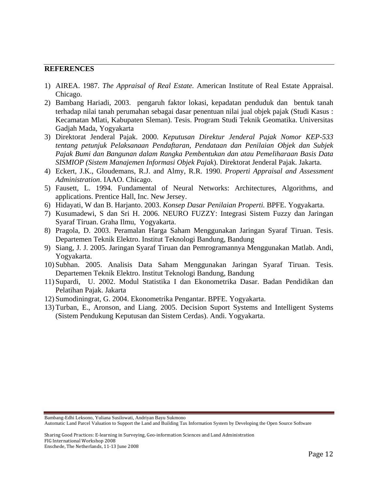## **REFERENCES**

- 1) AIREA. 1987. *The Appraisal of Real Estate.* American Institute of Real Estate Appraisal. Chicago.
- 2) Bambang Hariadi, 2003. pengaruh faktor lokasi, kepadatan penduduk dan bentuk tanah terhadap nilai tanah perumahan sebagai dasar penentuan nilai jual objek pajak (Studi Kasus : Kecamatan Mlati, Kabupaten Sleman). Tesis. Program Studi Teknik Geomatika. Universitas Gadjah Mada, Yogyakarta
- 3) Direktorat Jenderal Pajak. 2000. *Keputusan Direktur Jenderal Pajak Nomor KEP-533 tentang petunjuk Pelaksanaan Pendaftaran, Pendataan dan Penilaian Objek dan Subjek Pajak Bumi dan Bangunan dalam Rangka Pembentukan dan atau Pemeliharaan Basis Data SISMIOP (Sistem Manajemen Informasi Objek Pajak*). Direktorat Jenderal Pajak. Jakarta.
- 4) Eckert, J.K., Gloudemans, R.J. and Almy, R.R. 1990. *Properti Appraisal and Assessment Administration*. IAAO. Chicago.
- 5) Fausett, L. 1994. Fundamental of Neural Networks: Architectures, Algorithms, and applications. Prentice Hall, Inc. New Jersey.
- 6) Hidayati, W dan B. Harjanto. 2003. *Konsep Dasar Penilaian Properti.* BPFE. Yogyakarta.
- 7) Kusumadewi, S dan Sri H. 2006. NEURO FUZZY: Integrasi Sistem Fuzzy dan Jaringan Syaraf Tiruan. Graha Ilmu, Yogyakarta.
- 8) Pragola, D. 2003. Peramalan Harga Saham Menggunakan Jaringan Syaraf Tiruan. Tesis. Departemen Teknik Elektro. Institut Teknologi Bandung, Bandung
- 9) Siang, J. J. 2005. Jaringan Syaraf Tiruan dan Pemrogramannya Menggunakan Matlab. Andi, Yogyakarta.
- 10) Subhan. 2005. Analisis Data Saham Menggunakan Jaringan Syaraf Tiruan. Tesis. Departemen Teknik Elektro. Institut Teknologi Bandung, Bandung
- 11) Supardi, U. 2002. Modul Statistika I dan Ekonometrika Dasar. Badan Pendidikan dan Pelatihan Pajak. Jakarta
- 12) Sumodiningrat, G. 2004. Ekonometrika Pengantar. BPFE. Yogyakarta.
- 13) Turban, E., Aronson, and Liang. 2005. Decision Suport Systems and Intelligent Systems (Sistem Pendukung Keputusan dan Sistem Cerdas). Andi. Yogyakarta.

Bambang-Edhi Leksono, Yuliana Susilowati, Andriyan Bayu Sukmono

Automatic Land Parcel Valuation to Support the Land and Building Tax Information System by Developing the Open Source Software